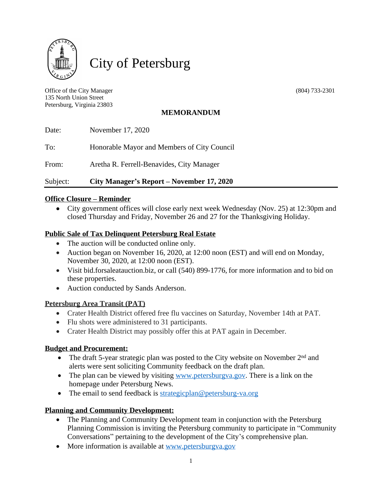

City of Petersburg

Office of the City Manager (804) 733-2301 135 North Union Street Petersburg, Virginia 23803

# **MEMORANDUM**

| Subject: | City Manager's Report – November 17, 2020   |
|----------|---------------------------------------------|
| From:    | Aretha R. Ferrell-Benavides, City Manager   |
| To:      | Honorable Mayor and Members of City Council |
| Date:    | November 17, 2020                           |

# **Office Closure – Reminder**

 City government offices will close early next week Wednesday (Nov. 25) at 12:30pm and closed Thursday and Friday, November 26 and 27 for the Thanksgiving Holiday.

# **Public Sale of Tax Delinquent Petersburg Real Estate**

- The auction will be conducted online only.
- Auction began on November 16, 2020, at 12:00 noon (EST) and will end on Monday, November 30, 2020, at 12:00 noon (EST).
- Visit bid.forsaleatauction.biz, or call (540) 899-1776, for more information and to bid on these properties.
- Auction conducted by Sands Anderson.

#### **Petersburg Area Transit (PAT)**

- Crater Health District offered free flu vaccines on Saturday, November 14th at PAT.
- Flu shots were administered to 31 participants.
- Crater Health District may possibly offer this at PAT again in December.

# **Budget and Procurement:**

- The draft 5-year strategic plan was posted to the City website on November 2<sup>nd</sup> and alerts were sent soliciting Community feedback on the draft plan.
- The plan can be viewed by visiting [www.petersburgva.gov.](http://www.petersburgva.gov) There is a link on the homepage under Petersburg News.
- The email to send feedback is [strategicplan@petersburg-va.org](mailto:strategicplan@petersburg-va.org)

# **Planning and Community Development:**

- The Planning and Community Development team in conjunction with the Petersburg Planning Commission is inviting the Petersburg community to participate in "Community Conversations" pertaining to the development of the City's comprehensive plan.
- More information is available at [www.petersburgva.gov](http://www.petersburgva.gov)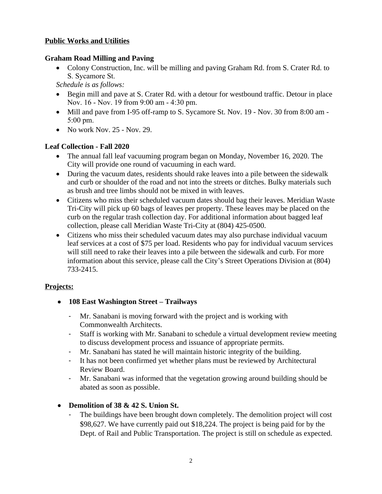# **Public Works and Utilities**

## **Graham Road Milling and Paving**

• Colony Construction, Inc. will be milling and paving Graham Rd. from S. Crater Rd. to S. Sycamore St.

*Schedule is as follows:*

- Begin mill and pave at S. Crater Rd. with a detour for westbound traffic. Detour in place Nov. 16 - Nov. 19 from 9:00 am - 4:30 pm.
- Mill and pave from I-95 off-ramp to S. Sycamore St. Nov. 19 Nov. 30 from 8:00 am -5:00 pm.
- $\bullet$  No work Nov. 25 Nov. 29.

# **Leaf Collection - Fall 2020**

- The annual fall leaf vacuuming program began on Monday, November 16, 2020. The City will provide one round of vacuuming in each ward.
- During the vacuum dates, residents should rake leaves into a pile between the sidewalk and curb or shoulder of the road and not into the streets or ditches. Bulky materials such as brush and tree limbs should not be mixed in with leaves.
- Citizens who miss their scheduled vacuum dates should bag their leaves. Meridian Waste Tri-City will pick up 60 bags of leaves per property. These leaves may be placed on the curb on the regular trash collection day. For additional information about bagged leaf collection, please call Meridian Waste Tri-City at (804) 425-0500.
- Citizens who miss their scheduled vacuum dates may also purchase individual vacuum leaf services at a cost of \$75 per load. Residents who pay for individual vacuum services will still need to rake their leaves into a pile between the sidewalk and curb. For more information about this service, please call the City's Street Operations Division at (804) 733-2415.

# **Projects:**

- **108 East Washington Street – Trailways**
	- Mr. Sanabani is moving forward with the project and is working with Commonwealth Architects.
	- Staff is working with Mr. Sanabani to schedule a virtual development review meeting to discuss development process and issuance of appropriate permits.
	- Mr. Sanabani has stated he will maintain historic integrity of the building.
	- It has not been confirmed yet whether plans must be reviewed by Architectural Review Board.
	- Mr. Sanabani was informed that the vegetation growing around building should be abated as soon as possible.

# **Demolition of 38 & 42 S. Union St.**

The buildings have been brought down completely. The demolition project will cost \$98,627. We have currently paid out \$18,224. The project is being paid for by the Dept. of Rail and Public Transportation. The project is still on schedule as expected.